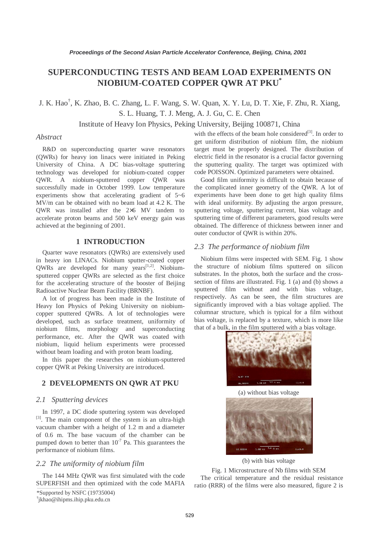# **SUPERCONDUCTING TESTS AND BEAM LOAD EXPERIMENTS ON NIOBIUM-COATED COPPER QWR AT PKU\***

J. K. Hao† , K. Zhao, B. C. Zhang, L. F. Wang, S. W. Quan, X. Y. Lu, D. T. Xie, F. Zhu, R. Xiang, S. L. Huang, T. J. Meng, A. J. Gu, C. E. Chen

Institute of Heavy Ion Physics, Peking University, Beijing 100871, China

#### *Abstract*

R&D on superconducting quarter wave resonators (QWRs) for heavy ion linacs were initiated in Peking University of China. A DC bias-voltage sputtering technology was developed for niobium-coated copper QWR. A niobium-sputtered copper QWR was successfully made in October 1999. Low temperature experiments show that accelerating gradient of 5~6 MV/m can be obtained with no beam load at 4.2 K. The QWR was installed after the 2×6 MV tandem to accelerate proton beams and 500 keV energy gain was achieved at the beginning of 2001.

# **1 INTRODUCTION**

Quarter wave resonators (QWRs) are extensively used in heavy ion LINACs. Niobium sputter-coated copper  $QWRs$  are developed for many years<sup>[1,2]</sup>. Niobiumsputtered copper QWRs are selected as the first choice for the accelerating structure of the booster of Beijing Radioactive Nuclear Beam Facility (BRNBF).

A lot of progress has been made in the Institute of Heavy Ion Physics of Peking University on niobiumcopper sputtered QWRs. A lot of technologies were developed, such as surface treatment, uniformity of niobium films, morphology and superconducting performance, etc. After the QWR was coated with niobium, liquid helium experiments were processed without beam loading and with proton beam loading.

In this paper the researches on niobium-sputtered copper QWR at Peking University are introduced.

# **2 DEVELOPMENTS ON QWR AT PKU**

#### *2.1 Sputtering devices*

In 1997, a DC diode sputtering system was developed [3]. The main component of the system is an ultra-high vacuum chamber with a height of 1.2 m and a diameter of 0.6 m. The base vacuum of the chamber can be pumped down to better than  $10^{-7}$  Pa. This guarantees the performance of niobium films.

### *2.2 The uniformity of niobium film*

The 144 MHz QWR was first simulated with the code SUPERFISH and then optimized with the code MAFIA with the effects of the beam hole considered $[3]$ . In order to get uniform distribution of niobium film, the niobium target must be properly designed. The distribution of electric field in the resonator is a crucial factor governing the sputtering quality. The target was optimized with code POISSON. Optimized parameters were obtained.

Good film uniformity is difficult to obtain because of the complicated inner geometry of the QWR. A lot of experiments have been done to get high quality films with ideal uniformity. By adjusting the argon pressure, sputtering voltage, sputtering current, bias voltage and sputtering time of different parameters, good results were obtained. The difference of thickness between inner and outer conductor of QWR is within 20%.

#### *2.3 The performance of niobium film*

Niobium films were inspected with SEM. Fig. 1 show the structure of niobium films sputtered on silicon substrates. In the photos, both the surface and the crosssection of films are illustrated. Fig. 1 (a) and (b) shows a sputtered film without and with bias voltage, respectively. As can be seen, the film structures are significantly improved with a bias voltage applied. The columnar structure, which is typical for a film without bias voltage, is replaced by a texture, which is more like that of a bulk, in the film sputtered with a bias voltage.



(a) without bias voltage



(b) with bias voltage

Fig. 1 Microstructure of Nb films with SEM The critical temperature and the residual resistance ratio (RRR) of the films were also measured, figure 2 is

<sup>\*</sup>Supported by NSFC (19735004)

<sup>†</sup> jkhao@ihipms.ihip.pku.edu.cn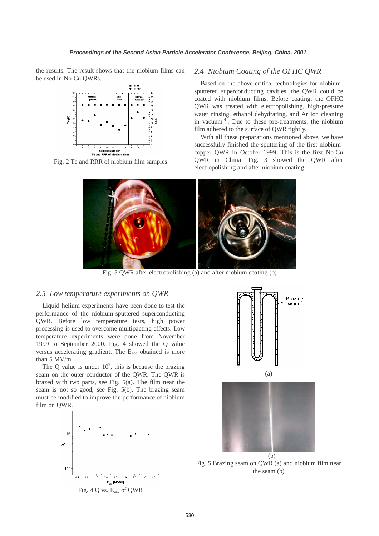the results. The result shows that the niobium films can be used in Nb-Cu QWRs.



Fig. 2 Tc and RRR of niobium film samples

### *2.4 Niobium Coating of the OFHC QWR*

Based on the above critical technologies for niobiumsputtered superconducting cavities, the QWR could be coated with niobium films. Before coating, the OFHC QWR was treated with electropolishing, high-pressure water rinsing, ethanol dehydrating, and Ar ion cleaning in vacuum<sup>[4]</sup>. Due to these pre-treatments, the niobium film adhered to the surface of QWR tightly.

With all these preparations mentioned above, we have successfully finished the sputtering of the first niobiumcopper QWR in October 1999. This is the first Nb-Cu QWR in China. Fig. 3 showed the QWR after electropolishing and after niobium coating.



Fig. 3 QWR after electropolishing (a) and after niobium coating (b)

#### *2.5 Low temperature experiments on QWR*

Liquid helium experiments have been done to test the performance of the niobium-sputtered superconducting QWR. Before low temperature tests, high power processing is used to overcome multipacting effects. Low temperature experiments were done from November 1999 to September 2000. Fig. 4 showed the Q value versus accelerating gradient. The Eacc obtained is more than 5 MV/m.

The Q value is under  $10^9$ , this is because the brazing seam on the outer conductor of the QWR. The QWR is brazed with two parts, see Fig. 5(a). The film near the seam is not so good, see Fig. 5(b). The brazing seam must be modified to improve the performance of niobium film on QWR.





(a)



Fig. 5 Brazing seam on QWR (a) and niobium film near the seam (b)